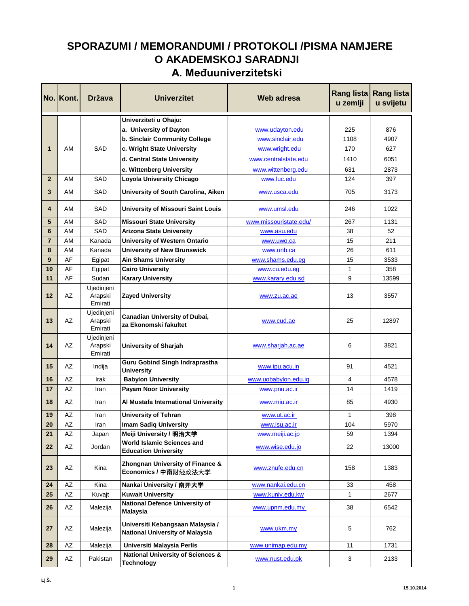## **SPORAZUMI / MEMORANDUMI / PROTOKOLI /PISMA NAMJERE O AKADEMSKOJ SARADNJI A. Međuuniverzitetski**

|                | No. Kont. | <b>Država</b>                    | <b>Univerzitet</b>                                                  | Web adresa             | Rang lista<br>u zemlji | <b>Rang lista</b><br>u svijetu |
|----------------|-----------|----------------------------------|---------------------------------------------------------------------|------------------------|------------------------|--------------------------------|
|                |           |                                  | Univerziteti u Ohaju:                                               |                        |                        |                                |
|                |           |                                  | a. University of Dayton                                             | www.udayton.edu        | 225                    | 876                            |
|                |           |                                  | b. Sinclair Community College                                       | www.sinclair.edu       | 1108                   | 4907                           |
| 1              | AM        | SAD                              | c. Wright State University                                          | www.wright.edu         | 170                    | 627                            |
|                |           |                                  | d. Central State University                                         | www.centralstate.edu   | 1410                   | 6051                           |
|                |           |                                  | e. Wittenberg University                                            | www.wittenberg.edu     | 631                    | 2873                           |
| $\overline{2}$ | AM        | SAD                              | Loyola University Chicago                                           | www.luc.edu            | 124                    | 397                            |
| 3              | AM        | SAD                              | University of South Carolina, Aiken                                 | www.usca.edu           | 705                    | 3173                           |
| 4              | AM        | SAD                              | <b>University of Missouri Saint Louis</b>                           | www.umsl.edu           | 246                    | 1022                           |
| 5              | AM        | <b>SAD</b>                       | <b>Missouri State University</b>                                    | www.missouristate.edu/ | 267                    | 1131                           |
| 6              | AM        | <b>SAD</b>                       | <b>Arizona State University</b>                                     | www.asu.edu            | 38                     | 52                             |
| $\overline{7}$ | AM        | Kanada                           | <b>University of Western Ontario</b>                                | www.uwo.ca             | 15                     | 211                            |
| 8              | AM        | Kanada                           | <b>University of New Brunswick</b>                                  | www.unb.ca             | 26                     | 611                            |
| 9              | AF        | Egipat                           | <b>Ain Shams University</b>                                         | www.shams.edu.eg       | 15                     | 3533                           |
| 10             | AF        | Egipat                           | <b>Cairo University</b>                                             | www.cu.edu.eg          | 1                      | 358                            |
| 11             | AF        | Sudan                            | <b>Karary University</b>                                            | www.karary.edu.sd      | 9                      | 13599                          |
| 12             | AZ        | Ujedinjeni<br>Arapski<br>Emirati | <b>Zayed University</b>                                             | www.zu.ac.ae           | 13                     | 3557                           |
| 13             | AZ        | Ujedinjeni<br>Arapski<br>Emirati | Canadian University of Dubai,<br>za Ekonomski fakultet              | www.cud.ae             | 25                     | 12897                          |
| 14             | AZ        | Ujedinjeni<br>Arapski<br>Emirati | University of Sharjah                                               | www.sharjah.ac.ae      | 6                      | 3821                           |
| 15             | AZ        | Indija                           | <b>Guru Gobind Singh Indraprastha</b><br><b>University</b>          | www.ipu.acu.in         | 91                     | 4521                           |
| 16             | AZ        | Irak                             | <b>Babylon University</b>                                           | www.uobabylon.edu.iq   | 4                      | 4578                           |
| 17             | AZ        | Iran                             | <b>Payam Noor University</b>                                        | www.pnu.ac.ir          | 14                     | 1419                           |
| 18             | AZ        | Iran                             | Al Mustafa International University                                 | www.miu.ac.ir          | 85                     | 4930                           |
| 19             | AZ        | Iran                             | <b>University of Tehran</b>                                         | www.ut.ac.ir           | 1                      | 398                            |
| 20             | AZ        | Iran                             | <b>Imam Sadiq University</b>                                        | www.isu.ac.ir          | 104                    | 5970                           |
| 21             | AZ        | Japan                            | Meiji University / 明治大学                                             | www.meiji.ac.jp        | 59                     | 1394                           |
| 22             | AZ        | Jordan                           | <b>World Islamic Sciences and</b><br><b>Education University</b>    | www.wise.edu.jo        | 22                     | 13000                          |
| 23             | AZ        | Kina                             | Zhongnan University of Finance &<br>Economics / 中南财经政法大学            | www.znufe.edu.cn       | 158                    | 1383                           |
| 24             | AZ        | Kina                             | Nankai University / 南开大学                                            | www.nankai.edu.cn      | 33                     | 458                            |
| 25             | AZ        | Kuvajt                           | <b>Kuwait University</b>                                            | www.kuniv.edu.kw       | $\mathbf 1$            | 2677                           |
| 26             | AZ        | Malezija                         | <b>National Defence University of</b><br><b>Malaysia</b>            | www.upnm.edu.my        | 38                     | 6542                           |
| 27             | AZ        | Malezija                         | Universiti Kebangsaan Malaysia /<br>National University of Malaysia | www.ukm.my             | 5                      | 762                            |
| 28             | AZ        | Malezija                         | Universiti Malaysia Perlis                                          | www.unimap.edu.my      | 11                     | 1731                           |
| 29             | AZ        | Pakistan                         | <b>National University of Sciences &amp;</b><br><b>Technology</b>   | www.nust.edu.pk        | 3                      | 2133                           |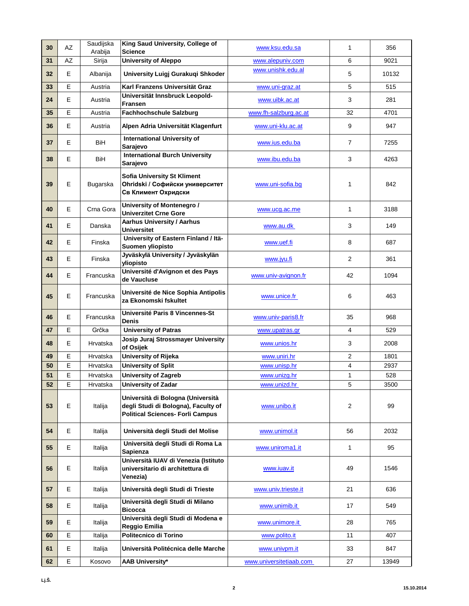| 30 | <b>AZ</b> | Saudijska<br>Arabija | King Saud University, College of<br><b>Science</b>                                                                  | www.ksu.edu.sa          | $\mathbf{1}$            | 356   |
|----|-----------|----------------------|---------------------------------------------------------------------------------------------------------------------|-------------------------|-------------------------|-------|
| 31 | AZ        | Sirija               | <b>University of Aleppo</b>                                                                                         | www.alepuniv.com        | 6                       | 9021  |
| 32 | E         | Albanija             | University Luigj Gurakuqi Shkoder                                                                                   | www.unishk.edu.al       | 5                       | 10132 |
| 33 | E         | Austria              | Karl Franzens Universität Graz                                                                                      | www.uni-graz.at         | 5                       | 515   |
| 24 | Е         | Austria              | Universität Innsbruck Leopold-<br>Fransen                                                                           | www.uibk.ac.at          | 3                       | 281   |
| 35 | E         | Austria              | <b>Fachhochschule Salzburg</b>                                                                                      | www.fh-salzburg.ac.at   | 32                      | 4701  |
| 36 | E.        | Austria              | Alpen Adria Universität Klagenfurt                                                                                  | www.uni-klu.ac.at       | 9                       | 947   |
| 37 | Е         | <b>BiH</b>           | <b>International University of</b><br>Sarajevo                                                                      | www.ius.edu.ba          | $\overline{7}$          | 7255  |
| 38 | E         | BiH                  | <b>International Burch University</b><br>Sarajevo                                                                   | www.ibu.edu.ba          | 3                       | 4263  |
| 39 | Е         | Bugarska             | <b>Sofia University St Kliment</b><br>Ohridski / Софийски университет<br>Св Климент Охридски                        | www.uni-sofia.bg        | $\mathbf{1}$            | 842   |
| 40 | Е         | Crna Gora            | University of Montenegro /<br><b>Univerzitet Crne Gore</b>                                                          | www.ucg.ac.me           | $\mathbf{1}$            | 3188  |
| 41 | E         | Danska               | <b>Aarhus University / Aarhus</b><br><b>Universitet</b>                                                             | www.au.dk               | 3                       | 149   |
| 42 | E         | Finska               | University of Eastern Finland / Itä-<br>Suomen yliopisto                                                            | www.uef.fi              | 8                       | 687   |
| 43 | E         | Finska               | Jyväskylä University / Jyväskylän<br>yliopisto                                                                      | www.jyu.fi              | $\overline{2}$          | 361   |
| 44 | Е         | Francuska            | Université d'Avignon et des Pays<br>de Vaucluse                                                                     | www.univ-avignon.fr     | 42                      | 1094  |
| 45 | Е         | Francuska            | Université de Nice Sophia Antipolis<br>za Ekonomski fskultet                                                        | www.unice.fr            | 6                       | 463   |
| 46 | Е         | Francuska            | Université Paris 8 Vincennes-St<br>Denis                                                                            | www.univ-paris8.fr      | 35                      | 968   |
| 47 | E         | Grčka                | <b>University of Patras</b>                                                                                         | www.upatras.gr          | 4                       | 529   |
| 48 | Е         | Hrvatska             | Josip Juraj Strossmayer University<br>of Osijek                                                                     | www.unios.hr            | 3                       | 2008  |
| 49 | E         | Hrvatska             | University of Rijeka                                                                                                | www.uniri.hr            | $\overline{\mathbf{c}}$ | 1801  |
| 50 | E         | Hrvatska             | <b>University of Split</b>                                                                                          | www.unisp.hr            | $\overline{\mathbf{4}}$ | 2937  |
| 51 | E         | Hrvatska             | <b>University of Zagreb</b>                                                                                         | www.unizg.hr            | $\mathbf{1}$            | 528   |
| 52 | E.        | Hrvatska             | <b>University of Zadar</b>                                                                                          | www.unizd.hr            | 5                       | 3500  |
| 53 | E         | Italija              | Università di Bologna (Università<br>degli Studi di Bologna), Faculty of<br><b>Political Sciences- Forli Campus</b> | www.unibo.it            | $\overline{c}$          | 99    |
| 54 | E.        | Italija              | Università degli Studi del Molise                                                                                   | www.unimol.it           | 56                      | 2032  |
| 55 | E         | Italija              | Università degli Studi di Roma La<br>Sapienza                                                                       | www.uniroma1.it         | 1                       | 95    |
| 56 | Е         | Italija              | Università IUAV di Venezia (Istituto<br>universitario di architettura di<br>Venezia)                                | www.iuav.it             | 49                      | 1546  |
| 57 | Е         | Italija              | Università degli Studi di Trieste                                                                                   | www.univ.trieste.it     | 21                      | 636   |
| 58 | Е         | Italija              | Università degli Studi di Milano<br><b>Bicocca</b>                                                                  | www.unimib.it           | 17                      | 549   |
| 59 | E.        | Italija              | Università degli Studi di Modena e<br>Reggio Emilia                                                                 | www.unimore.it          | 28                      | 765   |
| 60 | E         | Italija              | Politecnico di Torino                                                                                               | www.polito.it           | 11                      | 407   |
| 61 | Е         | Italija              | Università Politécnica delle Marche                                                                                 | www.univpm.it           | 33                      | 847   |
| 62 | E         | Kosovo               | <b>AAB University*</b>                                                                                              | www.universitetiaab.com | 27                      | 13949 |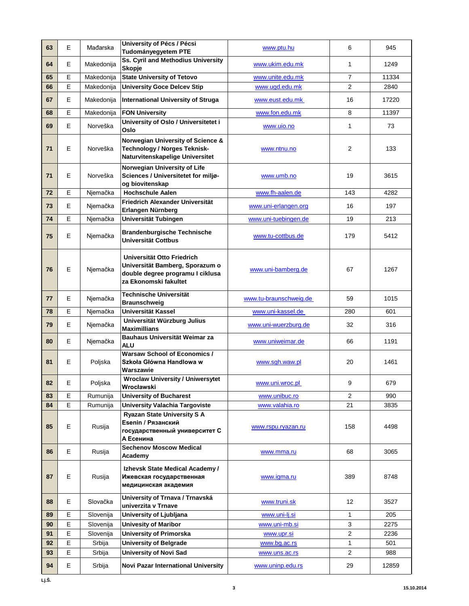| 63       | E      | Mađarska   | University of Pécs / Pécsi<br>Tudományegyetem PTE                                                                          | www.ptu.hu             | 6                | 945   |
|----------|--------|------------|----------------------------------------------------------------------------------------------------------------------------|------------------------|------------------|-------|
| 64       | Е      | Makedonija | Ss. Cyril and Methodius University<br><b>Skopje</b>                                                                        | www.ukim.edu.mk        | 1                | 1249  |
| 65       | E      | Makedonija | <b>State University of Tetovo</b>                                                                                          | www.unite.edu.mk       | $\overline{7}$   | 11334 |
| 66       | E      | Makedonija | <b>University Goce Delcev Stip</b>                                                                                         | www.ugd.edu.mk         | $\overline{2}$   | 2840  |
| 67       | Е      | Makedonija | <b>International University of Struga</b>                                                                                  | www.eust.edu.mk        | 16               | 17220 |
| 68       | E      | Makedonija | <b>FON University</b>                                                                                                      | www.fon.edu.mk         | 8                | 11397 |
| 69       | E      | Norveška   | University of Oslo / Universitetet i<br>Oslo                                                                               | www.uio.no             | $\mathbf{1}$     | 73    |
| 71       | E      | Norveška   | Norwegian University of Science &<br><b>Technology / Norges Teknisk-</b><br>Naturvitenskapelige Universitet                | www.ntnu.no            | $\overline{2}$   | 133   |
| 71       | Е      | Norveška   | Norwegian University of Life<br>Sciences / Universitetet for miljø-<br>og biovitenskap                                     | www.umb.no             | 19               | 3615  |
| 72       | E      | Njemačka   | <b>Hochschule Aalen</b>                                                                                                    | www.fh-aalen.de        | 143              | 4282  |
| 73       | Е      | Njemačka   | Friedrich Alexander Universität<br>Erlangen Nürnberg                                                                       | www.uni-erlangen.org   | 16               | 197   |
| 74       | E      | Njemačka   | Universität Tubingen                                                                                                       | www.uni-tuebingen.de   | 19               | 213   |
| 75       | E      | Njemačka   | <b>Brandenburgische Technische</b><br><b>Universität Cottbus</b>                                                           | www.tu-cottbus.de      | 179              | 5412  |
| 76       | E      | Njemačka   | Universität Otto Friedrich<br>Universität Bamberg, Sporazum o<br>double degree programu I ciklusa<br>za Ekonomski fakultet | www.uni-bamberg.de     | 67               | 1267  |
| 77       | E      | Njemačka   | Technische Universität<br><b>Braunschweig</b>                                                                              | www.tu-braunschweig.de | 59               | 1015  |
| 78       | Е      | Njemačka   | Universität Kassel                                                                                                         | www.uni-kassel.de      | 280              | 601   |
| 79       | E      | Njemačka   | Universität Würzburg Julius<br><b>Maximillians</b>                                                                         | www.uni-wuerzburg.de   | 32               | 316   |
| 80       | E.     | Njemačka   | Bauhaus Universität Weimar za<br><b>ALU</b>                                                                                | www.uniweimar.de       | 66               | 1191  |
| 81       | Е      | Poljska    | <b>Warsaw School of Economics /</b><br>Szkoła Główna Handlowa w<br>Warszawie                                               | www.sgh.waw.pl         | 20               | 1461  |
| 82       | E      | Poljska    | <b>Wroclaw University / Uniwersytet</b><br>Wrocławski                                                                      | www.uni.wroc.pl        | 9                | 679   |
| 83       | E      | Rumunija   | <b>University of Bucharest</b>                                                                                             | www.unibuc.ro          | 2                | 990   |
| 84       | E      | Rumunija   | <b>University Valachia Targoviste</b>                                                                                      | www.valahia.ro         | 21               | 3835  |
| 85       | Е      | Rusija     | <b>Ryazan State University S A</b><br>Esenin / Рязанский<br>государственный университет С<br>А Есенина                     | www.rspu.ryazan.ru     | 158              | 4498  |
| 86       | E      | Rusija     | <b>Sechenov Moscow Medical</b><br>Academy                                                                                  | www.mma.ru             | 68               | 3065  |
| 87       | Е      | Rusija     | Izhevsk State Medical Academy /<br>Ижевская государственная<br>медицинская академия                                        | www.igma.ru            | 389              | 8748  |
| 88       | E      | Slovačka   | University of Trnava / Trnavská<br>univerzita v Trnave                                                                     | www.truni.sk           | 12               | 3527  |
| 89       | E      | Slovenija  | University of Ljubljana                                                                                                    | www.uni-lj.si          | $\mathbf{1}$     | 205   |
| 90       | E      | Slovenija  | <b>Univesity of Maribor</b>                                                                                                | www.uni-mb.si          | 3                | 2275  |
|          |        |            |                                                                                                                            |                        |                  |       |
| 91       | E      | Slovenija  | <b>University of Primorska</b>                                                                                             | www.upr.si             | $\boldsymbol{2}$ | 2236  |
| 92       | E      | Srbija     | <b>University of Belgrade</b>                                                                                              | www.bg.ac.rs           | $\mathbf{1}$     | 501   |
| 93<br>94 | E<br>Е | Srbija     | <b>University of Novi Sad</b>                                                                                              | www.uns.ac.rs          | $\overline{2}$   | 988   |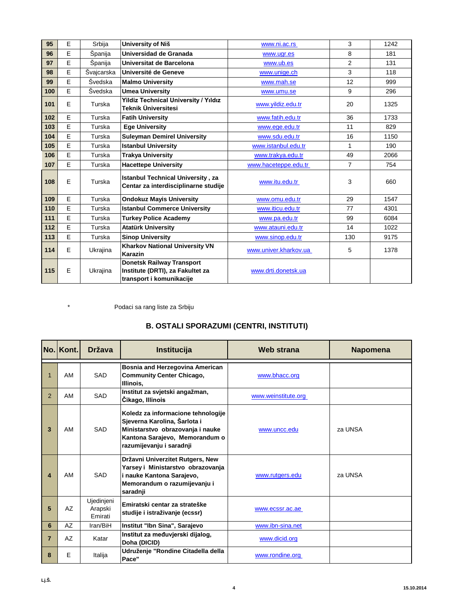| 95  | E | Srbija     | University of Niš                                                                                | www.ni.ac.rs          | 3              | 1242 |
|-----|---|------------|--------------------------------------------------------------------------------------------------|-----------------------|----------------|------|
| 96  | E | Španija    | Universidad de Granada                                                                           | www.ugr.es            | 8              | 181  |
| 97  | E | Španija    | Universitat de Barcelona                                                                         | www.ub.es             | $\overline{2}$ | 131  |
| 98  | E | Švajcarska | Université de Geneve                                                                             | www.unige.ch          | 3              | 118  |
| 99  | E | Švedska    | <b>Malmo University</b>                                                                          | www.mah.se            | 12             | 999  |
| 100 | E | Švedska    | <b>Umea University</b>                                                                           | www.umu.se            | 9              | 296  |
| 101 | E | Turska     | <b>Yildiz Technical University / Yıldız</b><br>Teknik Üniversitesi                               | www.yildiz.edu.tr     | 20             | 1325 |
| 102 | E | Turska     | <b>Fatih University</b>                                                                          | www.fatih.edu.tr      | 36             | 1733 |
| 103 | E | Turska     | <b>Ege University</b>                                                                            | www.ege.edu.tr        | 11             | 829  |
| 104 | E | Turska     | <b>Suleyman Demirel University</b>                                                               | www.sdu.edu.tr        | 16             | 1150 |
| 105 | E | Turska     | <b>Istanbul University</b>                                                                       | www.istanbul.edu.tr   | 1              | 190  |
| 106 | E | Turska     | <b>Trakya University</b>                                                                         | www.trakya.edu.tr     | 49             | 2066 |
| 107 | E | Turska     | <b>Hacettepe University</b>                                                                      | www.haceteppe.edu.tr  | $\overline{7}$ | 754  |
| 108 | E | Turska     | <b>Istanbul Technical University, za</b><br>Centar za interdisciplinarne studije                 | www.itu.edu.tr        | 3              | 660  |
| 109 | E | Turska     | <b>Ondokuz Mayis University</b>                                                                  | www.omu.edu.tr        | 29             | 1547 |
| 110 | E | Turska     | <b>Istanbul Commerce University</b>                                                              | www.iticu.edu.tr      | 77             | 4301 |
| 111 | E | Turska     | <b>Turkey Police Academy</b>                                                                     | www.pa.edu.tr         | 99             | 6084 |
| 112 | E | Turska     | <b>Atatürk University</b>                                                                        | www.atauni.edu.tr     | 14             | 1022 |
| 113 | E | Turska     | <b>Sinop University</b>                                                                          | www.sinop.edu.tr      | 130            | 9175 |
| 114 | E | Ukrajina   | <b>Kharkov National University VN</b><br>Karazin                                                 | www.univer.kharkov.ua | 5              | 1378 |
| 115 | E | Ukrajina   | <b>Donetsk Railway Transport</b><br>Institute (DRTI), za Fakultet za<br>transport i komunikacije | www.drti.donetsk.ua   |                |      |

\* Podaci sa rang liste za Srbiju

## **B. OSTALI SPORAZUMI (CENTRI, INSTITUTI)**

|                | No. Kont. | <b>Država</b>                    | Institucija                                                                                                                                                          | <b>Web strana</b>   | <b>Napomena</b> |
|----------------|-----------|----------------------------------|----------------------------------------------------------------------------------------------------------------------------------------------------------------------|---------------------|-----------------|
|                | AM        | SAD                              | Bosnia and Herzegovina American<br><b>Community Center Chicago,</b><br>Illinois.                                                                                     | www.bhacc.org       |                 |
| $\overline{2}$ | AM        | SAD                              | Institut za svjetski angažman,<br>Čikago, Illinois                                                                                                                   | www.weinstitute.org |                 |
| 3              | AM        | SAD                              | Koledz za informacione tehnologije<br>Sjeverna Karolina, Šarlota i<br>Ministarstvo obrazovanja i nauke<br>Kantona Sarajevo, Memorandum o<br>razumijevanju i saradnji | www.uncc.edu        | za UNSA         |
| 4              | AM        | SAD                              | Državni Univerzitet Rutgers, New<br>Yarsey i Ministarstvo obrazovanja<br>i nauke Kantona Sarajevo,<br>Memorandum o razumijevanju i<br>saradnji                       | www.rutgers.edu     | za UNSA         |
| 5              | AZ        | Ujedinjeni<br>Arapski<br>Emirati | Emiratski centar za strateške<br>studije i istraživanje (ecssr)                                                                                                      | www.ecssr.ac.ae     |                 |
| 6              | AZ        | Iran/BiH                         | Institut "Ibn Sina", Sarajevo                                                                                                                                        | www.ibn-sina.net    |                 |
| $\overline{7}$ | AZ        | Katar                            | Institut za međuvjerski dijalog,<br>Doha (DICID)                                                                                                                     | www.dicid.org       |                 |
| 8              | E         | Italija                          | Udruženje "Rondine Citadella della<br>Pace"                                                                                                                          | www.rondine.org     |                 |